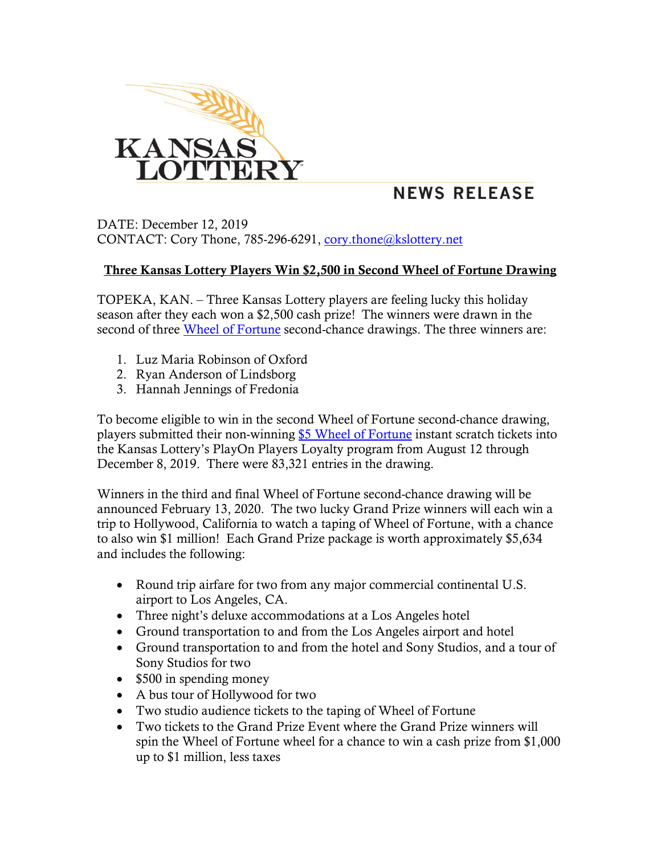

## **NEWS RELEASE**

DATE: December 12, 2019 CONTACT: Cory Thone, 785-296-6291, [cory.thone@kslottery.net](mailto:cory.thone@kslottery.net)

## Three Kansas Lottery Players Win \$2,500 in Second Wheel of Fortune Drawing

TOPEKA, KAN. – Three Kansas Lottery players are feeling lucky this holiday season after they each won a \$2,500 cash prize! The winners were drawn in the second of three [Wheel of Fortune](https://www.kslottery.com/marketingpromotionslist/wheel-of-fortune/) second-chance drawings. The three winners are:

- 1. Luz Maria Robinson of Oxford
- 2. Ryan Anderson of Lindsborg
- 3. Hannah Jennings of Fredonia

To become eligible to win in the second Wheel of Fortune second-chance drawing, players submitted their non-winning [\\$5 Wheel of Fortune](https://www.kslottery.com/games/instants/?gameid=108) instant scratch tickets into the Kansas Lottery's PlayOn Players Loyalty program from August 12 through December 8, 2019. There were 83,321 entries in the drawing.

Winners in the third and final Wheel of Fortune second-chance drawing will be announced February 13, 2020. The two lucky Grand Prize winners will each win a trip to Hollywood, California to watch a taping of Wheel of Fortune, with a chance to also win \$1 million! Each Grand Prize package is worth approximately \$5,634 and includes the following:

- Round trip airfare for two from any major commercial continental U.S. airport to Los Angeles, CA.
- Three night's deluxe accommodations at a Los Angeles hotel
- Ground transportation to and from the Los Angeles airport and hotel
- Ground transportation to and from the hotel and Sony Studios, and a tour of Sony Studios for two
- \$500 in spending money
- A bus tour of Hollywood for two
- Two studio audience tickets to the taping of Wheel of Fortune
- Two tickets to the Grand Prize Event where the Grand Prize winners will spin the Wheel of Fortune wheel for a chance to win a cash prize from \$1,000 up to \$1 million, less taxes